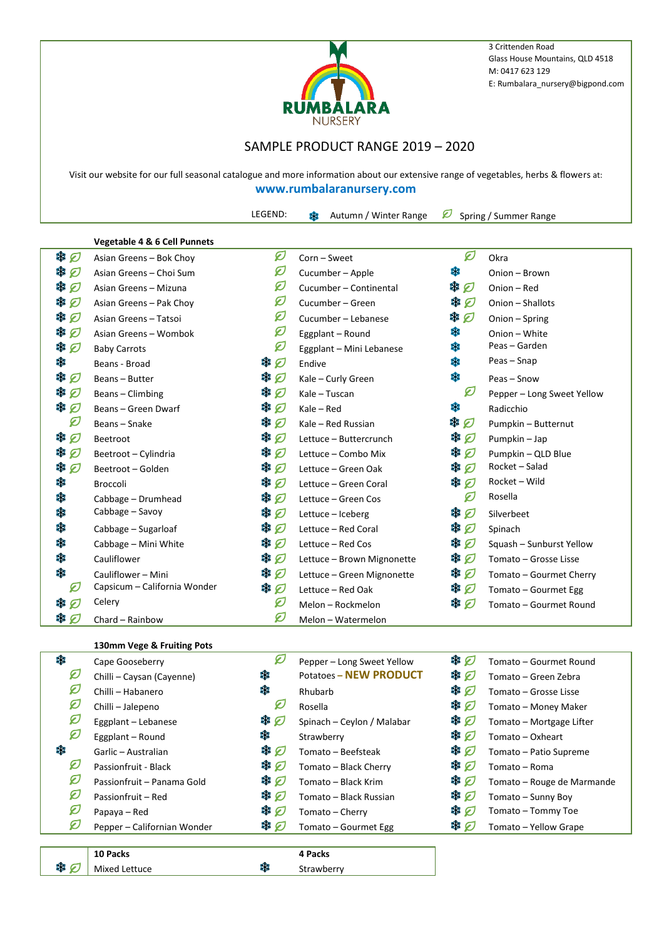

3 Crittenden Road Glass House Mountains, QLD 4518 M: 0417 623 129 E: Rumbalara\_nursery@bigpond.com

## SAMPLE PRODUCT RANGE 2019 – 2020

Visit our website for our full seasonal catalogue and more information about our extensive range of vegetables, herbs & flowers at: **www.rumbalaranursery.com**

LEGEND:  $\frac{20}{30}$  Autumn / Winter Range <br> Spring / Summer Range

|        | <b>Vegetable 4 &amp; 6 Cell Punnets</b> |             |                            |           |                            |
|--------|-----------------------------------------|-------------|----------------------------|-----------|----------------------------|
| ₩Ø     | Asian Greens - Bok Choy                 | Ø           | Corn - Sweet               | Ø         | Okra                       |
| 鱳<br>Ø | Asian Greens - Choi Sum                 | Ø           | Cucumber - Apple           | 驣         | Onion - Brown              |
| 鱳<br>Ø | Asian Greens - Mizuna                   | Ø           | Cucumber - Continental     | * 刀       | Onion - Red                |
| 鱳<br>Ø | Asian Greens - Pak Choy                 | Ø           | Cucumber - Green           | <b>非口</b> | Onion - Shallots           |
| 樂口     | Asian Greens - Tatsoi                   | Ø           | Cucumber - Lebanese        | 樂口        | Onion - Spring             |
| 紫<br>Ø | Asian Greens - Wombok                   | Ø           | Eggplant - Round           | 鱳         | Onion - White              |
| 糕<br>Ø | <b>Baby Carrots</b>                     | Ø           | Eggplant - Mini Lebanese   | 雞         | Peas - Garden              |
| 爨      | Beans - Broad                           | ※ の         | Endive                     | 雞         | Peas-Snap                  |
| 雞<br>Ø | Beans - Butter                          | ☀の          | Kale - Curly Green         | 雞         | Peas - Snow                |
| 纂<br>Ø | Beans - Climbing                        | ※ の         | Kale - Tuscan              | Ø         | Pepper - Long Sweet Yellow |
| 纂<br>Ø | Beans - Green Dwarf                     | ₩Ø          | $Kale - Red$               | 雞         | Radicchio                  |
| Ø      | Beans - Snake                           | ₩Ø          | Kale - Red Russian         | ₩Ø        | Pumpkin - Butternut        |
| 業<br>Ø | Beetroot                                | \$0         | Lettuce - Buttercrunch     | ※ 刀       | Pumpkin - Jap              |
| 鱳<br>Ø | Beetroot - Cylindria                    | ※ 口         | Lettuce - Combo Mix        | 举口        | Pumpkin - QLD Blue         |
| ₩Ø     | Beetroot - Golden                       | \$0         | Lettuce - Green Oak        | ☀の        | Rocket - Salad             |
| 爨      | <b>Broccoli</b>                         | ₩Ø          | Lettuce - Green Coral      | ₩Ø        | Rocket - Wild              |
| 糕      | Cabbage - Drumhead                      | 举口          | Lettuce - Green Cos        | Ø         | Rosella                    |
| 糕      | Cabbage – Savoy                         | ₩Ø          | Lettuce - Iceberg          | ※ 刀       | Silverbeet                 |
| 糕      | Cabbage - Sugarloaf                     | ₩Ø          | Lettuce - Red Coral        | ₩Ø        | Spinach                    |
| 爨      | Cabbage - Mini White                    | ※ 刀         | Lettuce - Red Cos          | ☀の        | Squash - Sunburst Yellow   |
| 爨      | Cauliflower                             | <b>** 口</b> | Lettuce - Brown Mignonette | \$0       | Tomato - Grosse Lisse      |
| 鱳      | Cauliflower - Mini                      | ※ の         | Lettuce - Green Mignonette | \$0       | Tomato - Gourmet Cherry    |
| Ø      | Capsicum - California Wonder            | ₩Ø          | Lettuce - Red Oak          | \$ 0      | Tomato - Gourmet Egg       |
| ₩Ø     | Celery                                  | Ø           | Melon - Rockmelon          | ₩ Ø       | Tomato - Gourmet Round     |
| ₩ 刃    | Chard - Rainbow                         | Ø           | Melon - Watermelon         |           |                            |
|        |                                         |             |                            |           |                            |

## **130mm Vege & Fruiting Pots**

Mixed Lettuce

※ の

| 糕 | Cape Gooseberry             | Ø   | Pepper - Long Sweet Yellow    | 举口  | Tomato - Gourmet Round     |
|---|-----------------------------|-----|-------------------------------|-----|----------------------------|
| Ø | Chilli - Caysan (Cayenne)   | 鱳   | <b>Potatoes - NEW PRODUCT</b> | 举口  | Tomato – Green Zebra       |
| Ø | Chilli - Habanero           | 鱳   | Rhubarb                       | 樂口  | Tomato – Grosse Lisse      |
| Ø | Chilli - Jalepeno           | Ø   | Rosella                       | * 0 | Tomato - Money Maker       |
| Ø | Eggplant - Lebanese         | ※ の | Spinach - Ceylon / Malabar    | 举口  | Tomato - Mortgage Lifter   |
| Ø | Eggplant - Round            | 驜   | Strawberry                    | ₩ Ø | Tomato - Oxheart           |
| 鱳 | Garlic - Australian         | ₩ Ø | Tomato - Beefsteak            | 举口  | Tomato - Patio Supreme     |
| Ø | Passionfruit - Black        | ₩ Ø | Tomato - Black Cherry         | 举口  | Tomato - Roma              |
| Ø | Passionfruit - Panama Gold  | ₩ Ø | Tomato - Black Krim           | 举口  | Tomato - Rouge de Marmande |
| Ø | Passionfruit - Red          | ₩Ø  | Tomato - Black Russian        | 举口  | Tomato - Sunny Boy         |
| Ø | Papaya – Red                | \$0 | Tomato - Cherry               | 举口  | Tomato - Tommy Toe         |
| Ø | Pepper - Californian Wonder | ₩ Ø | Tomato - Gourmet Egg          | 举口  | Tomato - Yellow Grape      |
|   |                             |     |                               |     |                            |
|   | 10 Packs                    |     | 4 Packs                       |     |                            |

Strawberry

驣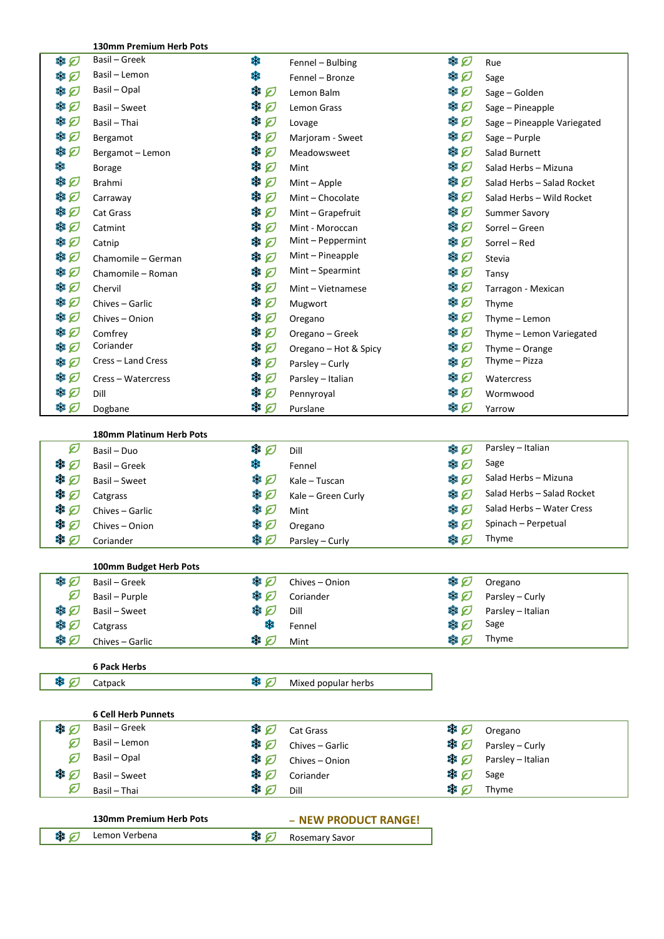**130mm Premium Herb Pots** Fennel – Bulbing  $\bigotimes$  Rue 串 口 Basil – Greek 鏶 ● の Basil – Lemon 攤 Fennel – Bronze Sage Sage 串口 Basil – Opal  $\circledast$   $\circledast$  Lemon Balm  $\circledast$  Sage – Golden 串口 Basil – Sweet  $\bigotimes^{\text{dR}} \mathcal{D}$  Lemon Grass  $\bigotimes^{\text{dR}} \mathcal{D}$  Sage – Pineapple 串口 Basil – Thai  $\bigotimes_{\mathbb{Z}} \mathbb{Z}$  Lovage Lovage  $\bigotimes_{\mathbb{Z}}$  Sage – Pineapple Variegated Bergamot Marjoram - Sweet Sage – Purple 串口 串口 Bergamot – Lemon  $\circledast$  Meadowsweet  $\circledast$  Salad Burnett Borage Mint Salad Herbs – Mizuna Brahmi Mint – Apple Salad Herbs – Salad Rocket 串口 Carraway Mint – Chocolate Salad Herbs – Wild Rocket Cat Grass Summer Savory 串口 串口 Catmint  $\circledast \hspace{-.05in} \mathscr{D}$  Mint - Moroccan  $\circledast \mathscr{D}$  Sorrel – Green 串口 Catnip  $\circledast$   $\circledast$  Mint – Peppermint  $\circledast$  Sorrel – Red Chamomile – German  $\circledast$   $\circledast$  Mint – Pineapple  $\circledast$  Stevia 串口 Chamomile – Roman Mint – Spearmint Mint – Spearmint Minimum → Tansy 串口 串口 Chervil **South South Allen State State Mint** – Vietnamese **Tarragon - Mexican** State Tarragon - Mexican 串口 Chives – Garlic **Solution Section Section** Mugwort **Section Section** Section Section Section Section Section Section Section Section Section Section Section Section Section Section Section Section Section Section Section 串口 Chives – Onion  $\circledast$   $\circledast$  Oregano  $\circledast$  Thyme – Lemon 串口 Comfrey Oregano – Greek Thyme – Lemon Variegated 串口 Coriander Oregano – Hot & Spicy Thyme – Orange Cress – Land Cress **Parsley – Curly Club** Parsley – Curly **Parsley – Curly Parsley – Curly Parsley – Curly Parsley – Curly Parsley – Curly Parsley – Curly Parsley – Curly 2008** 串口 串口 Cress – Watercress  $\circledast$  Parsley – Italian  $\circledast$  Watercress 串口 Dill Pennyroyal Wormwood 串口 Dogbane Purslane Yarrow **180mm Platinum Herb Pots** Ø Basil – Duo Dill Parsley – Italian \* 口 黵 Fennel Sage **Sage** Basil – Greek \* 口 **\***  $\bigotimes$  Kale – Tuscan Salad Herbs – Mizuna \* 0 Catgrass Care – Salad Herbs – Salad Rocket (Catgrass Salad Herbs – Salad Rocket Chives – Garlic Music Salad Herbs – Water Cress Community (Chives – Garlic Music Salad Herbs – Water Cress Music Salad Herbs – Water Cress Mu Chives – Garlic Mint Salad Herbs – Water Cress ₩ 0 樂口 Chives – Onion Oregano Spinach – Perpetual 樂口 Coriander **A**  $\mathcal{P}$  Parsley – Curly **S**  $\mathcal{P}$  Thyme **100mm Budget Herb Pots** 串口 Basil – Greek **Show State State State State State State State State State State State State State State State S** Basil – Purple **According to Parsley – Coriander** Parsley – Curly example and the According of the Parsley – Curly Ø ● の Basil – Sweet  $\bigotimes$  Dill Dill Dill  $\bigotimes$  Parsley – Italian 串口 鱳 Fennel Sage **Sage** Catgrass <br>
Chives – Garlic またり 串口 Chives – Garlic **Alternative Strategy** Mint Thyme **6 Pack Herbs** ※ 口 Catpack  $\circledast$  Mixed popular herbs **6 Cell Herb Punnets** ※ の Basil – Greek Cat Grass Oregano Basil – Lemon  $\circledast\hspace{-.6cm}/\;\!\!\!\!\!\!\!\circledast$   $\bullet$  Chives – Garlic  $\circledast\hspace{-.6cm}/\;\;\;\circledast$  Parsley – Curly Ø Basil – Opal  $\bigotimes$   $\bigotimes$  Chives – Onion  $\bigotimes$  Parsley – Italian Ø ※ 口 Basil – Sweet  $\circledast$   $\circledast$  Coriander  $\circledast$  Sage Ø Basil – Thai Dill Thyme **130mm Premium Herb Pots – NEW PRODUCT RANGE!** Lemon Verbena **Rosemary Savor** ※ 0